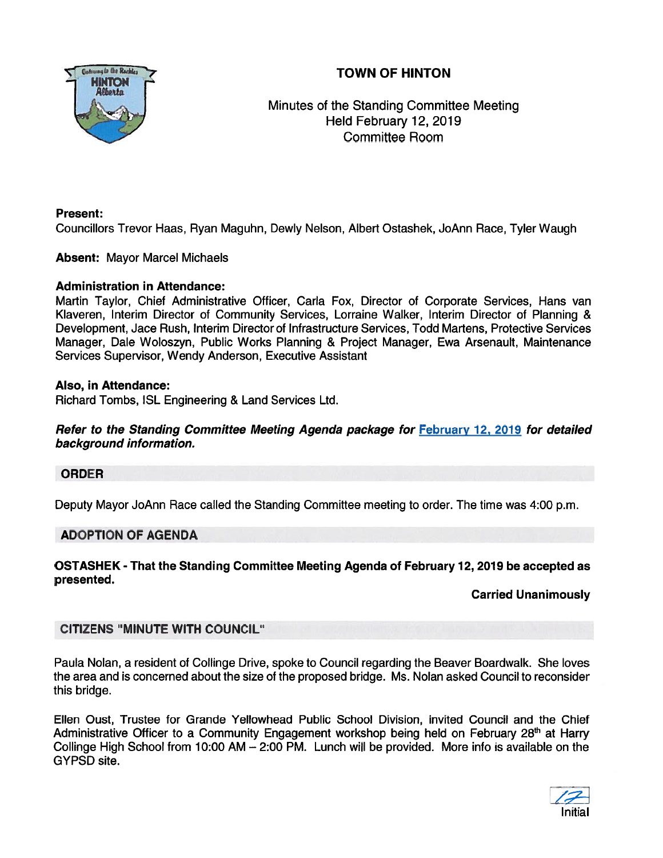# TOWN OF HINTON



Minutes of the Standing Committee Meeting Held February 12, 2019 Committee Room

## Present:

Councillors Trevor Haas, Ryan Maguhn, Dewly Nelson, Albert Ostashek, JoAnn Race, Tyler Waugh

## Absent: Mayor Marcel Michaels

## Administration in Attendance:

Martin Taylor, Chief Administrative Officer, Carla Fox, Director of Corporate Services, Hans van Klaveren, Interim Director of Community Services, Lorraine Walker, Interim Director of Planning & Development, Jace Rush, Interim Director of Infrastructure Services, Todd Martens, Protective Services Manager, Dale Woloszyn, Public Works Planning & Project Manager, Ewa Arsenault, Maintenance Services Supervisor, Wendy Anderson, Executive Assistant

### Also, in Attendance:

Richard Tombs, ISL Engineering & Land Services Ltd.

Refer to the Standing Committee Meeting Agenda package for February 12, 2019 for detailed background information.

## ORDER

Deputy Mayor JoAnn Race called the Standing Committee meeting to order. The time was 4:00 p.m.

## ADOPTION OF AGENDA

OSTASHEK - That the Standing Committee Meeting Agenda of February 72, 2079 be accepted as presented.

## Carried Unanimously

## CITIZENS "MINUTE WITH COUNCIL"

Paula Nolan, <sup>a</sup> resident of Collinge Drive, spoke to Council regarding the Beaver Boardwalk. She loves the area and is concerned about the size of the proposed bridge. Ms. Nolan asked Council to reconsider this bridge.

Ellen Oust, Trustee for Grande Yellowhead Public School Division, invited Council and the Chief Administrative Officer to a Community Engagement workshop being held on February 28<sup>th</sup> at Harry Collinge High School from 10:00 AM — 2:00 PM. Lunch will be provided. More info is available on the GYPSD site.

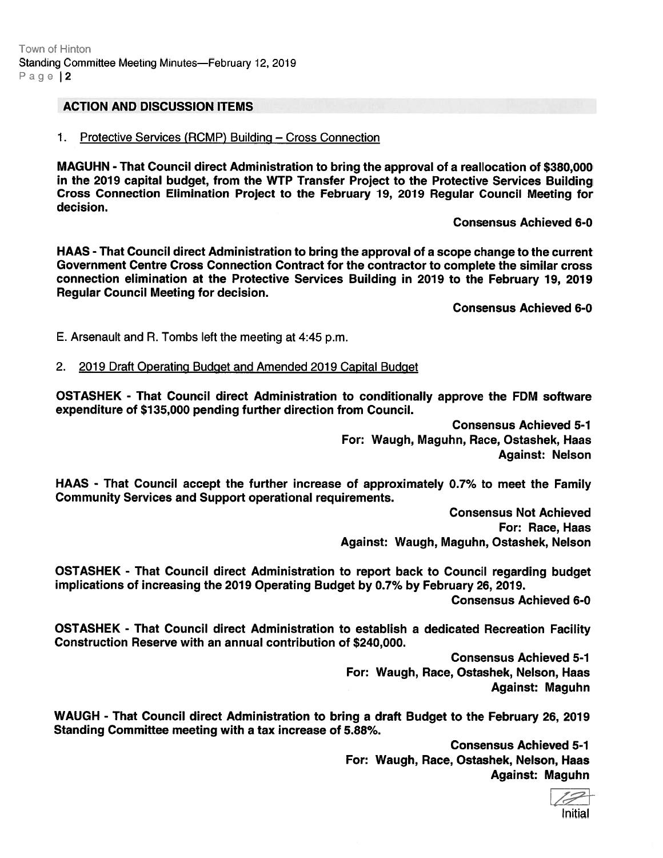### ACTION AND DISCUSSION ITEMS

### 1. Protective Services (RCMP) Building — Cross Connection

MAGUHN -That Council direct Administration to bring the approval of <sup>a</sup> reallocation of \$380,000 in the 2019 capital budget, from the WIP Transfer Project to the Protective Services Building Cross Connection Elimination Project to the February 79, 2019 Regular Council Meeting for decision.

Consensus Achieved 6-0

HAAS - That Council direct Administration to bring the approval of <sup>a</sup> scope change to the current Government Centre Cross Connection Contract for the contractor to complete the similar cross connection elimination at the Protective Services Building in 2019 to the February 79, 2019 Regular Council Meeting for decision.

Consensus Achieved 6-0

E. Arsenault and A. Tombs left the meeting at 4:45 p.m.

2. 2019 Draft Operating Budget and Amended 2019 Capital Budget

OSTASHEK - That Council direct Administration to conditionally approve the FDM software expenditure of \$135,000 pending further direction from Council.

> Consensus Achieved 5-1 For: Waugh, Maguhn, Race, Ostashek, Haas Against: Nelson

HAAS - That Council accep<sup>t</sup> the further increase of approximately 0.7% to meet the Family Community Services and Support operational requirements.

> Consensus Not Achieved For: Race, Haas Against: Waugh, Maguhn, Ostashek, Nelson

OSTASHEK - That Council direct Administration to repor<sup>t</sup> back to Council regarding budget implications of increasing the 2019 Operating Budget by 0.7% by February 26, 2019.

Consensus Achieved 6-0

OSTASHEK - That Council direct Administration to establish <sup>a</sup> dedicated Recreation Facility Construction Reserve with an annual contribution of \$240,000.

> Consensus Achieved 5-7 For: Waugh, Race, Ostashek, Nelson, Haas Against: Maguhn

WAUGH - That Council direct Administration to bring <sup>a</sup> draft Budget to the February 26, 2019 Standing Committee meeting with <sup>a</sup> tax increase of 5.88%.

> Consensus Achieved 5-1 For: Waugh, Race, Ostashek, Nelson, Haas Against: Maguhn

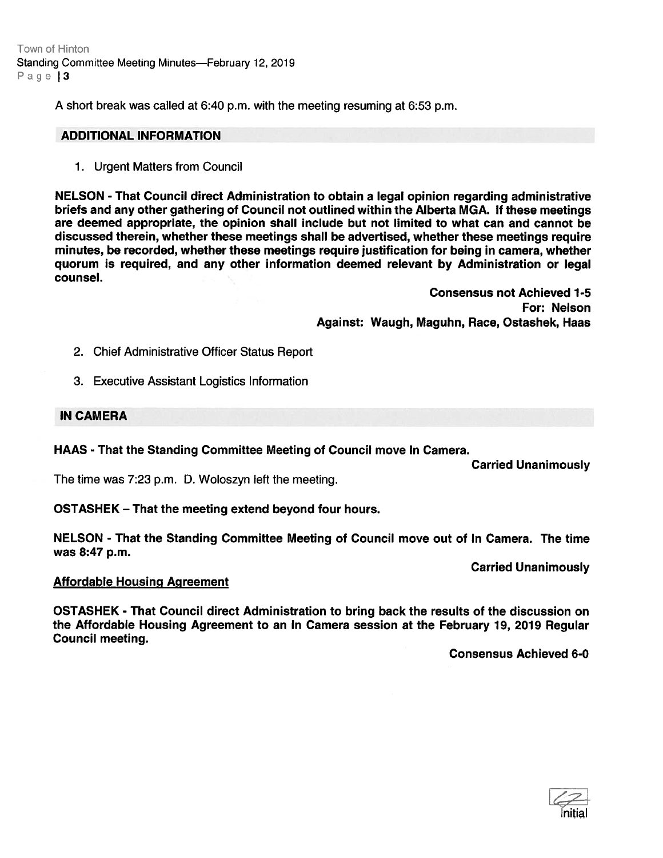Town of Hinton Standing Committee Meeting Minutes—February 12, 2019 Page 3

A short break was called at 6:40 p.m. with the meeting resuming at 6:53 p.m.

#### ADDITIONAL INFORMATION

1. Urgent Matters from Council

NELSON - That Council direct Administration to obtain <sup>a</sup> legal opinion regarding administrative briefs and any other gathering of Council not outlined within the Alberta MGA. If these meetings are deemed appropriate, the opinion shall include but not limited to what can and cannot be discussed therein, whether these meetings shall be advertised, whether these meetings require minutes, be recorded, whether these meetings require justification for being in camera, whether quorum is required, and any other information deemed relevant by Administration or legal counsel.

> Consensus not Achieved 1-5 For: Nelson Against: Waugh, Maguhn, Race, Ostashek, Haas

- 2. Chief Administrative Officer Status Report
- 3. Executive Assistant Logistics Information

#### IN CAMERA

HAAS - That the Standing Committee Meeting of Council move In Camera.

Carried Unanimously

The time was 7:23 p.m. D. Woloszyn left the meeting.

OSTASHEK — That the meeting extend beyond four hours.

NELSON - That the Standing Committee Meeting of Council move out of In Camera. The time was 8:47 p.m.

Carried Unanimously

### Affordable Housing Agreement

OSTASHEK - That Council direct Administration to bring back the results of the discussion on the Affordable Housing Agreement to an In Camera session at the February 19, 2019 Regular Council meeting.

Consensus Achieved 6-0